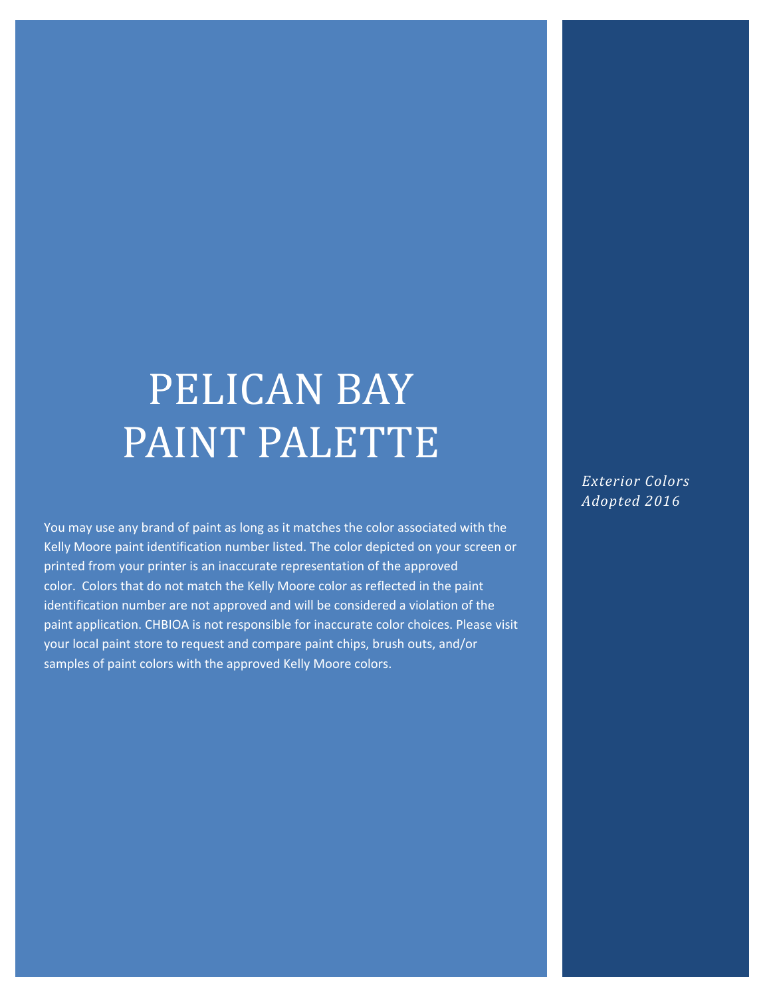# PELICAN BAY PAINT PALETTE

You may use any brand of paint as long as it matches the color associated with the Kelly Moore paint identification number listed. The color depicted on your screen or printed from your printer is an inaccurate representation of the approved color. Colors that do not match the Kelly Moore color as reflected in the paint identification number are not approved and will be considered a violation of the paint application. CHBIOA is not responsible for inaccurate color choices. Please visit your local paint store to request and compare paint chips, brush outs, and/or samples of paint colors with the approved Kelly Moore colors.

*Exterior Colors Adopted 2016*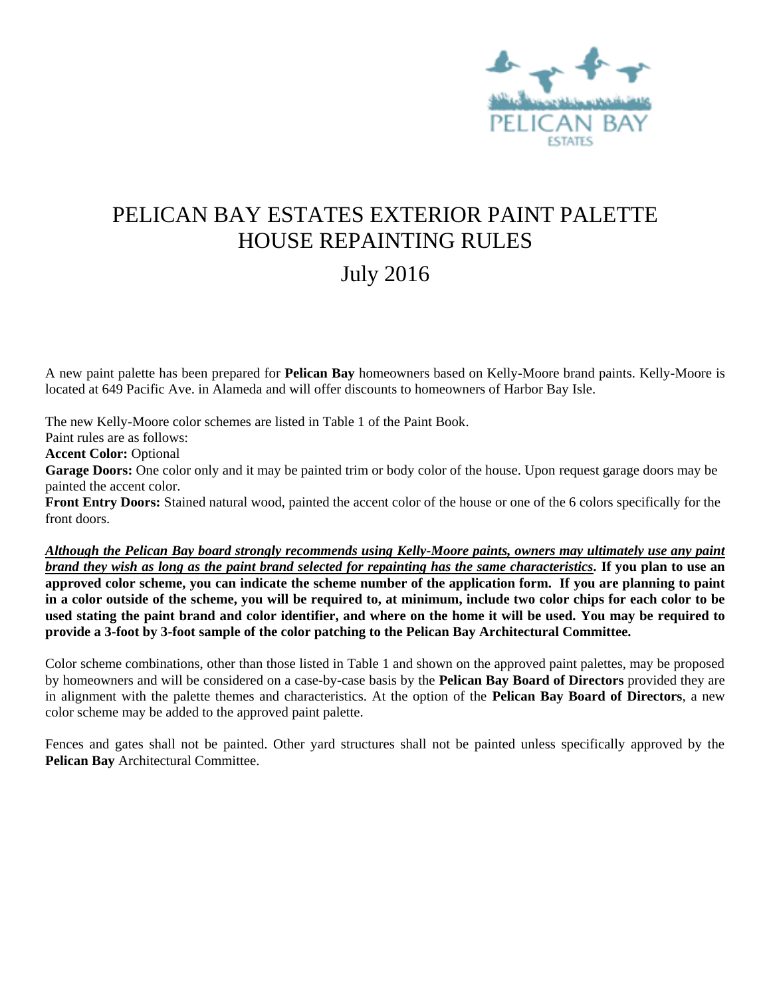

# PELICAN BAY ESTATES EXTERIOR PAINT PALETTE HOUSE REPAINTING RULES July 2016

A new paint palette has been prepared for **Pelican Bay** homeowners based on Kelly-Moore brand paints. Kelly-Moore is located at 649 Pacific Ave. in Alameda and will offer discounts to homeowners of Harbor Bay Isle.

The new Kelly-Moore color schemes are listed in Table 1 of the Paint Book.

Paint rules are as follows:

**Accent Color:** Optional

Garage Doors: One color only and it may be painted trim or body color of the house. Upon request garage doors may be painted the accent color.

**Front Entry Doors:** Stained natural wood, painted the accent color of the house or one of the 6 colors specifically for the front doors.

*Although the Pelican Bay board strongly recommends using Kelly-Moore paints, owners may ultimately use any paint brand they wish as long as the paint brand selected for repainting has the same characteristics.* **If you plan to use an approved color scheme, you can indicate the scheme number of the application form. If you are planning to paint in a color outside of the scheme, you will be required to, at minimum, include two color chips for each color to be used stating the paint brand and color identifier, and where on the home it will be used. You may be required to provide a 3-foot by 3-foot sample of the color patching to the Pelican Bay Architectural Committee.** 

Color scheme combinations, other than those listed in Table 1 and shown on the approved paint palettes, may be proposed by homeowners and will be considered on a case-by-case basis by the **Pelican Bay Board of Directors** provided they are in alignment with the palette themes and characteristics. At the option of the **Pelican Bay Board of Directors**, a new color scheme may be added to the approved paint palette.

Fences and gates shall not be painted. Other yard structures shall not be painted unless specifically approved by the **Pelican Bay** Architectural Committee.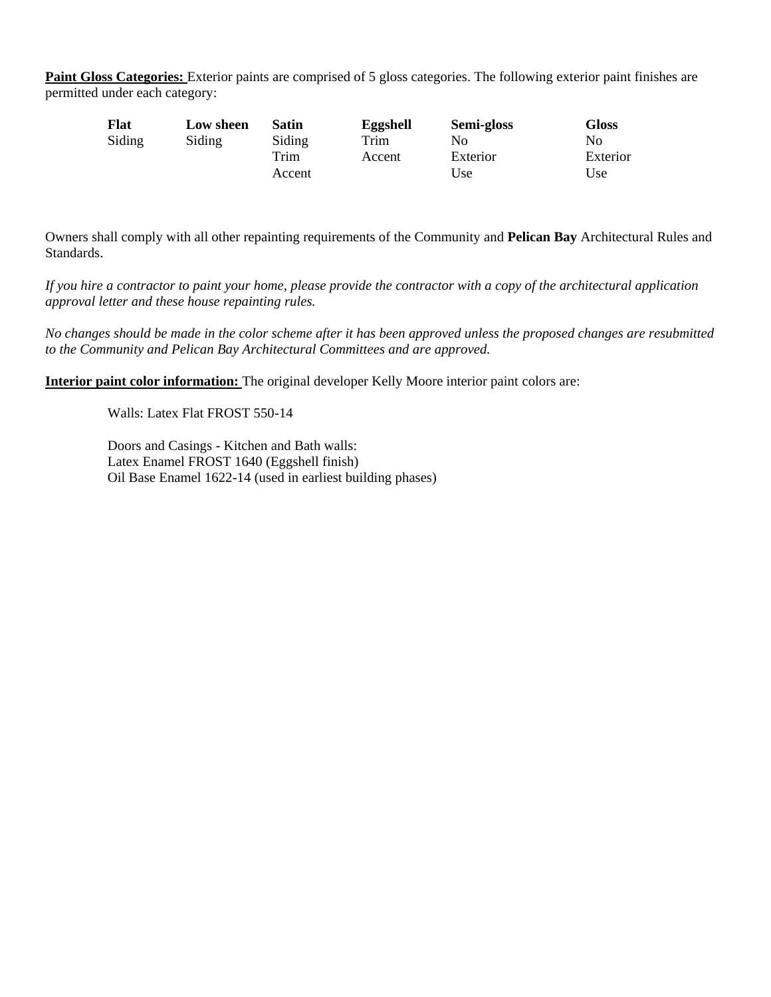Paint Gloss Categories: Exterior paints are comprised of 5 gloss categories. The following exterior paint finishes are permitted under each category:

| <b>Flat</b> | Low sheen | Satin  | Eggshell | Semi-gloss | Gloss    |
|-------------|-----------|--------|----------|------------|----------|
| Siding      | Siding    | Siding | Trim     | No         | No       |
|             |           | Trim   | Accent   | Exterior   | Exterior |
|             |           | Accent |          | Use        | Use      |

Owners shall comply with all other repainting requirements of the Community and **Pelican Bay** Architectural Rules and Standards.

*If you hire a contractor to paint your home, please provide the contractor with a copy of the architectural application approval letter and these house repainting rules.*

*No changes should be made in the color scheme after it has been approved unless the proposed changes are resubmitted to the Community and Pelican Bay Architectural Committees and are approved.*

**Interior paint color information:** The original developer Kelly Moore interior paint colors are:

Walls: Latex Flat FROST 550-14

Doors and Casings - Kitchen and Bath walls: Latex Enamel FROST 1640 (Eggshell finish) Oil Base Enamel 1622-14 (used in earliest building phases)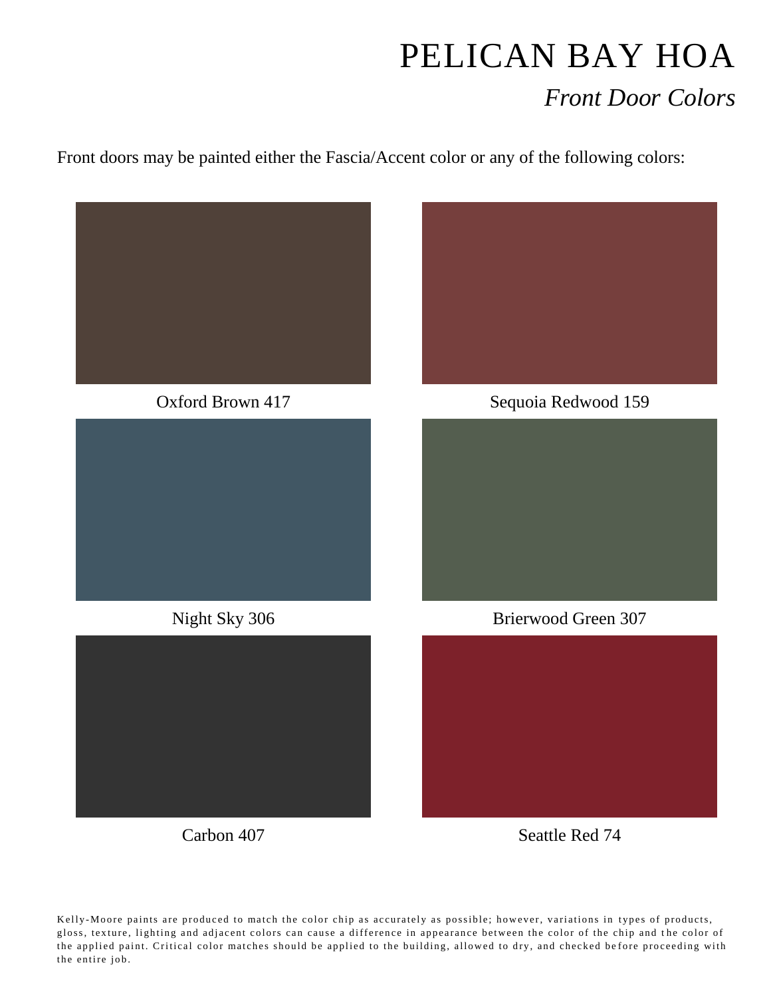# PELICAN BAY HOA *Front Door Colors*

Front doors may be painted either the Fascia/Accent color or any of the following colors:

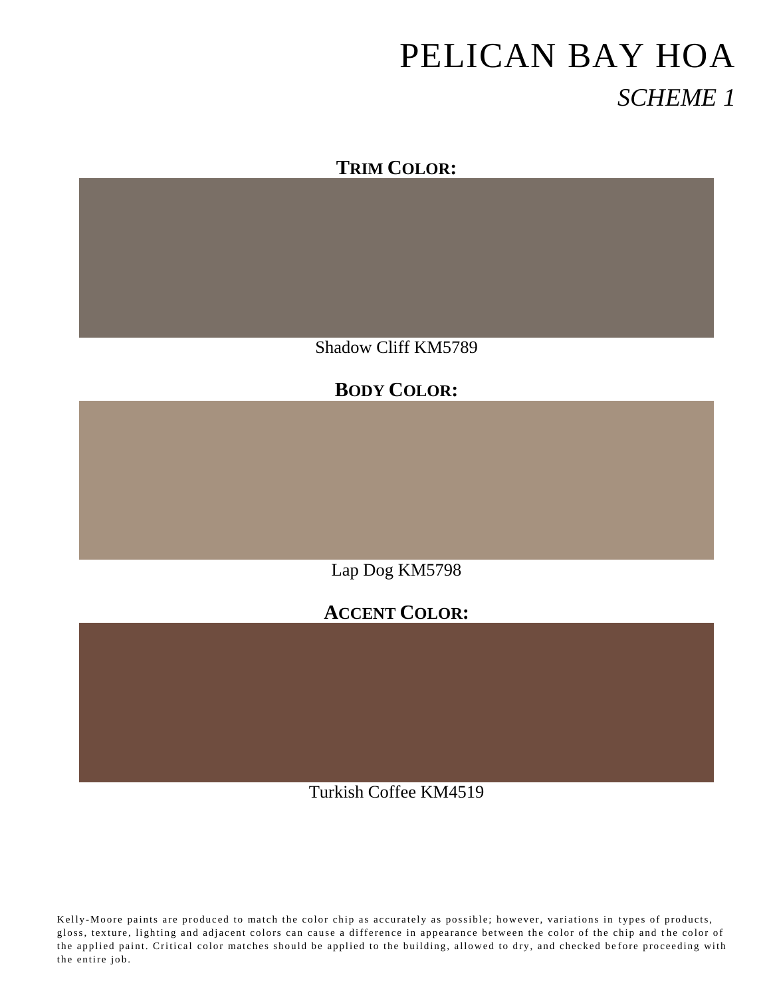### **TRIM COLOR:**

Shadow Cliff KM5789

### **BODY COLOR:**

Lap Dog KM5798

# **ACCENT COLOR:**

Turkish Coffee KM4519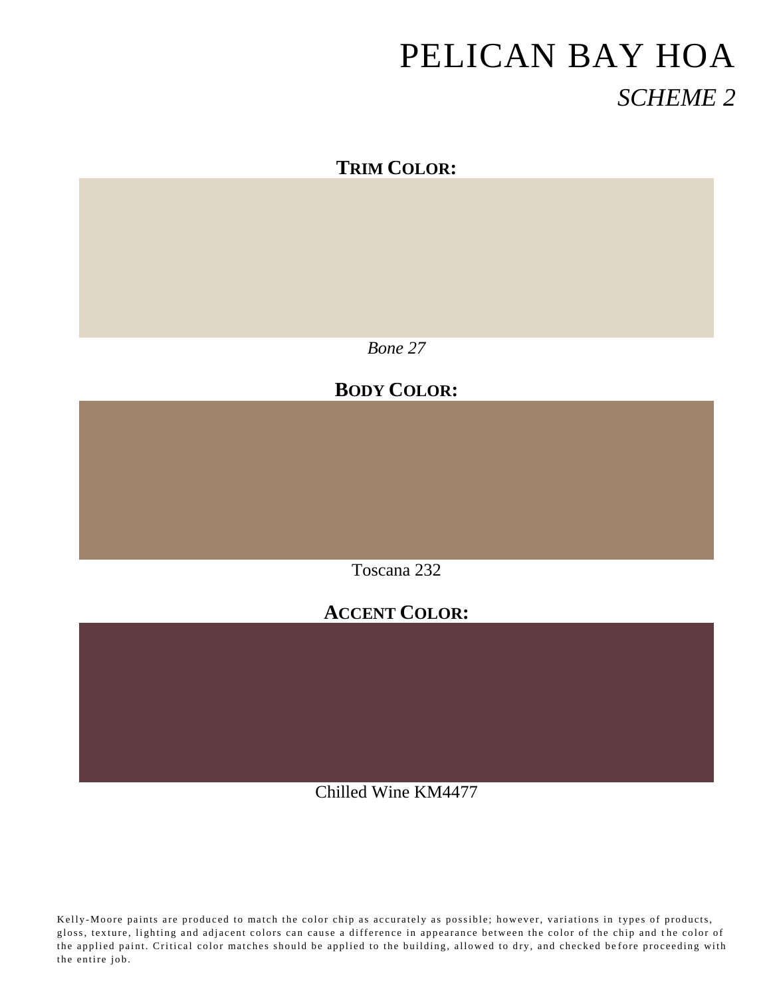#### **TRIM COLOR:**

*Bone 27*

# **BODY COLOR:**

Toscana 232

### **ACCENT COLOR:**

Chilled Wine KM4477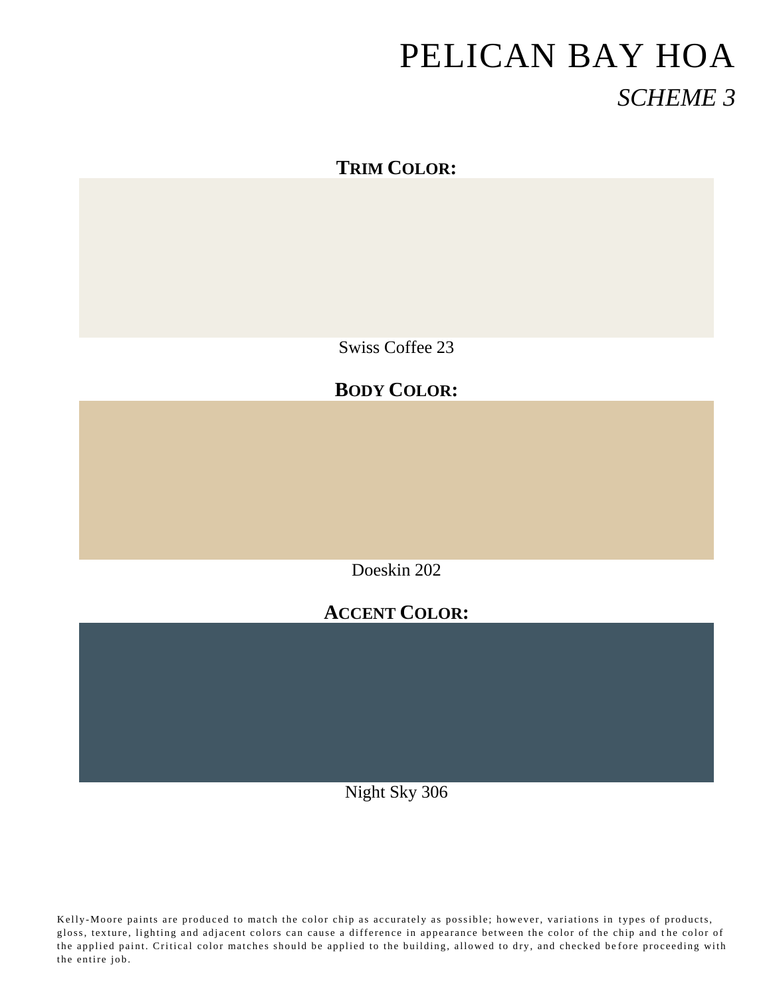### **TRIM COLOR:**

Swiss Coffee 23

# **BODY COLOR:**

Doeskin 202

### **ACCENT COLOR:**

Night Sky 306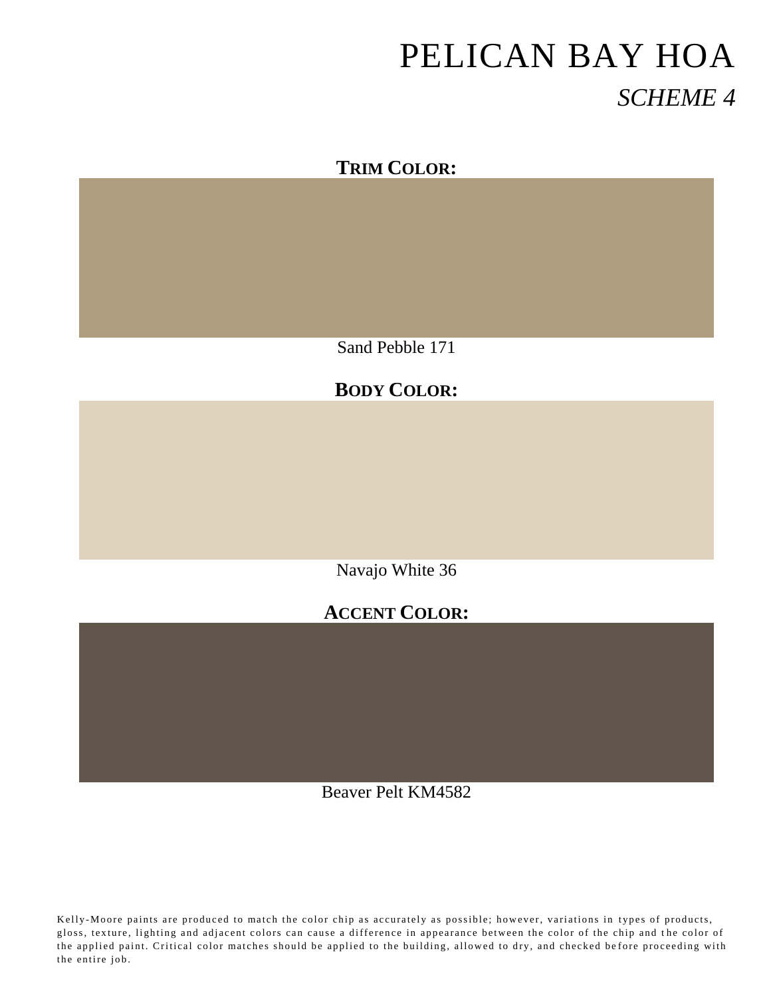

Sand Pebble 171

# **BODY COLOR:**

Navajo White 36

# **ACCENT COLOR:**

Beaver Pelt KM4582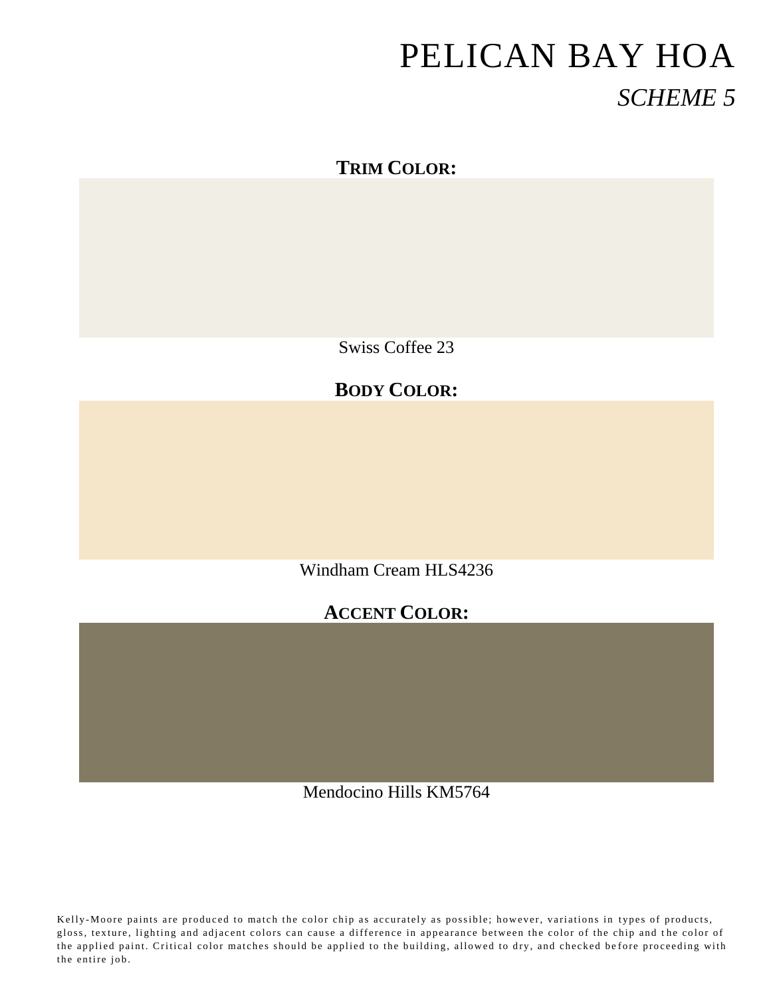### **TRIM COLOR:**

Swiss Coffee 23

# **BODY COLOR:**

Windham Cream HLS4236

#### **ACCENT COLOR:**

Mendocino Hills KM5764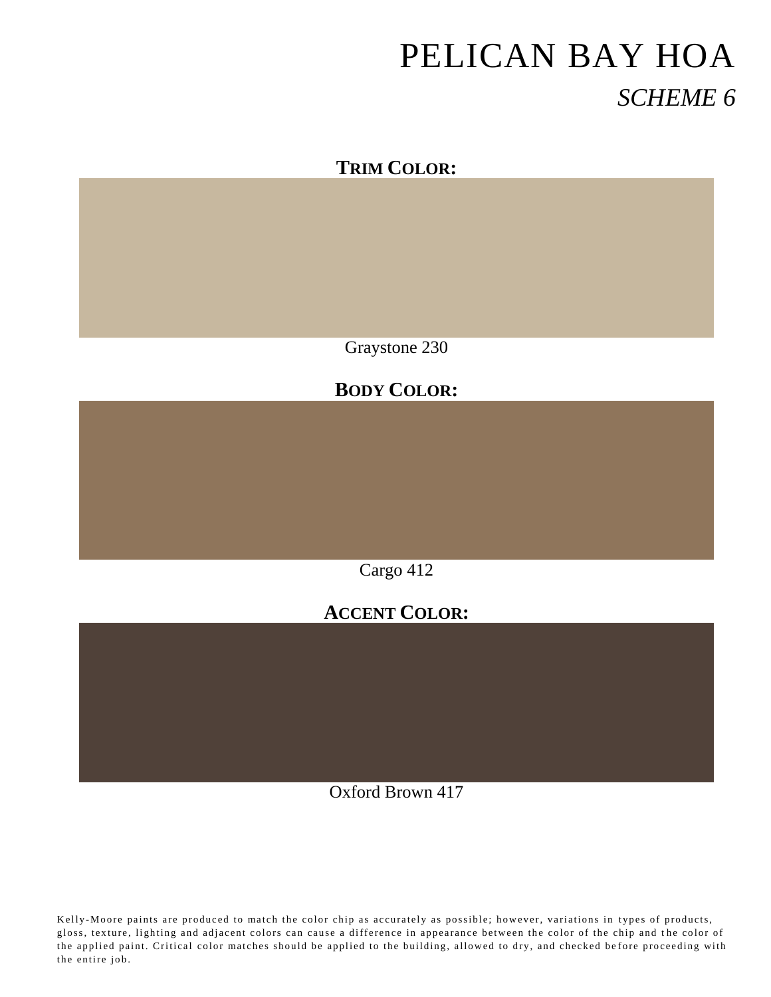

Graystone 230

### **BODY COLOR:**

Cargo 412

# **ACCENT COLOR:**

Oxford Brown 417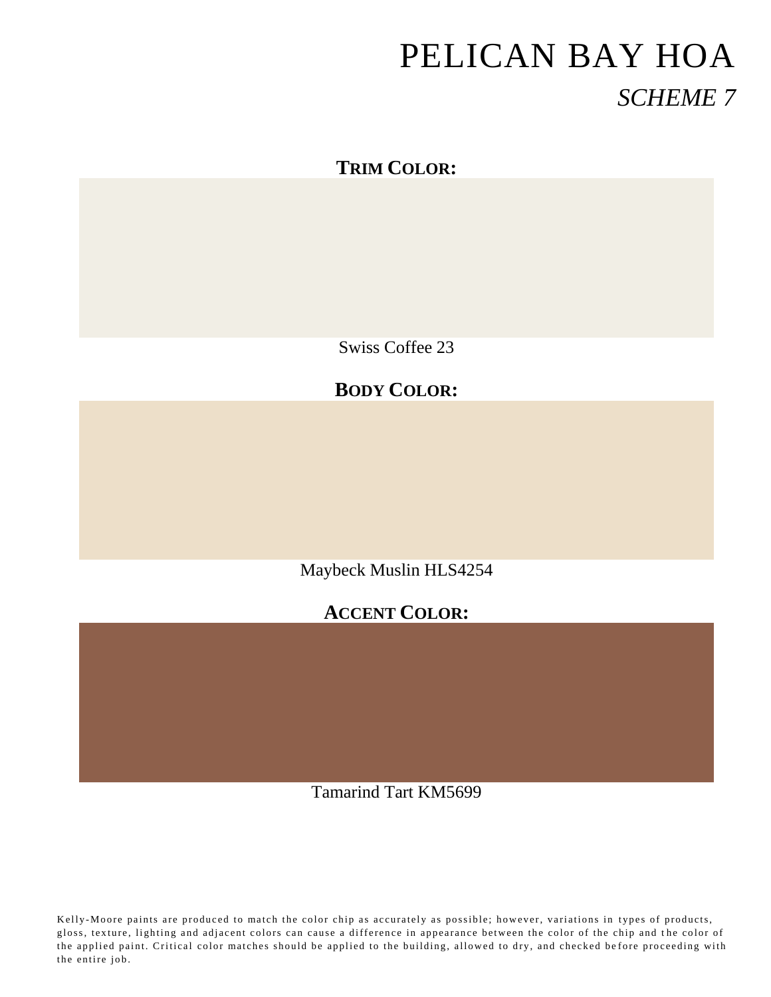### **TRIM COLOR:**

Swiss Coffee 23

### **BODY COLOR:**

Maybeck Muslin HLS4254

# **ACCENT COLOR:**

Tamarind Tart KM5699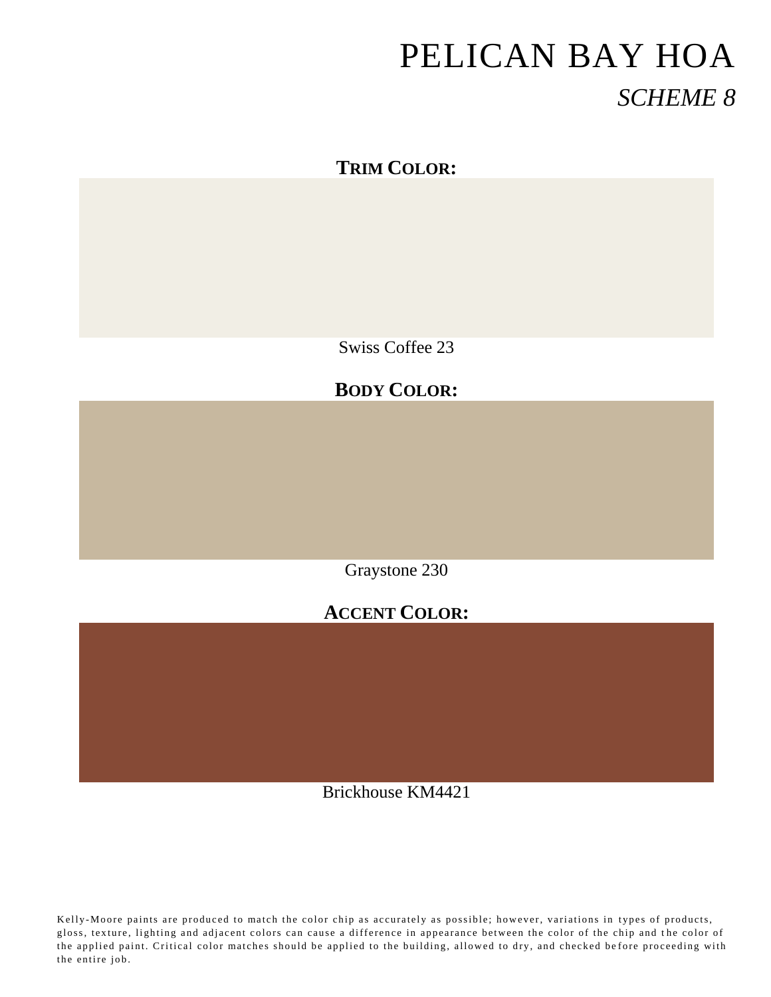### **TRIM COLOR:**

Swiss Coffee 23

### **BODY COLOR:**

Graystone 230

# **ACCENT COLOR:**

Brickhouse KM4421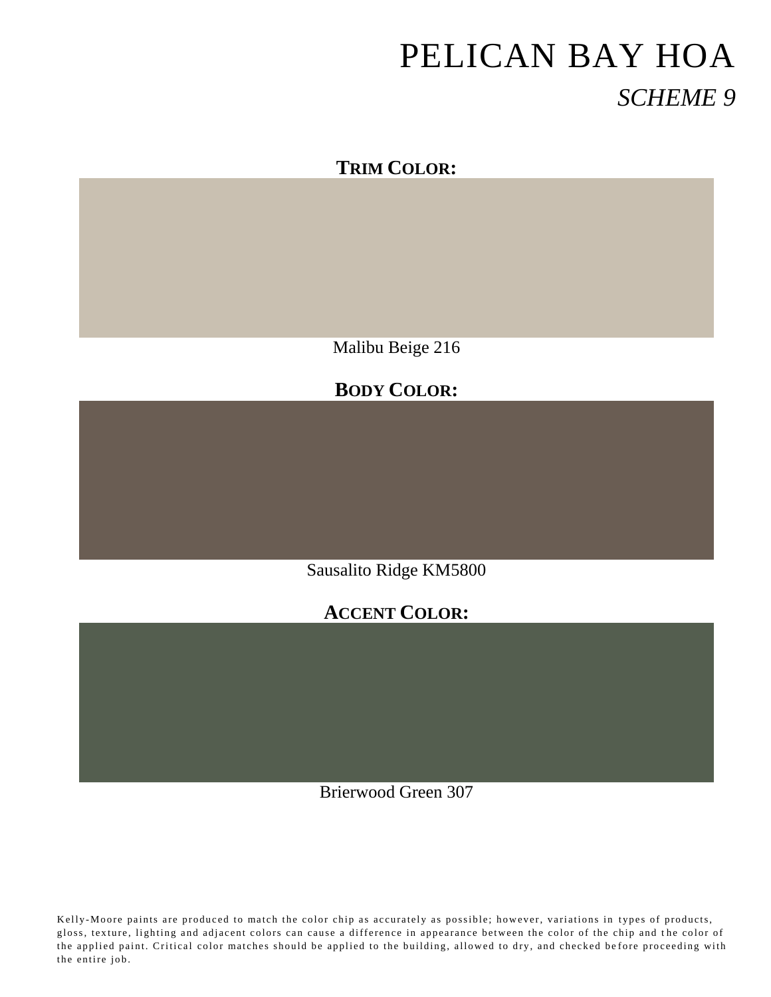#### **TRIM COLOR:**

Malibu Beige 216

#### **BODY COLOR:**

Sausalito Ridge KM5800

### **ACCENT COLOR:**

Brierwood Green 307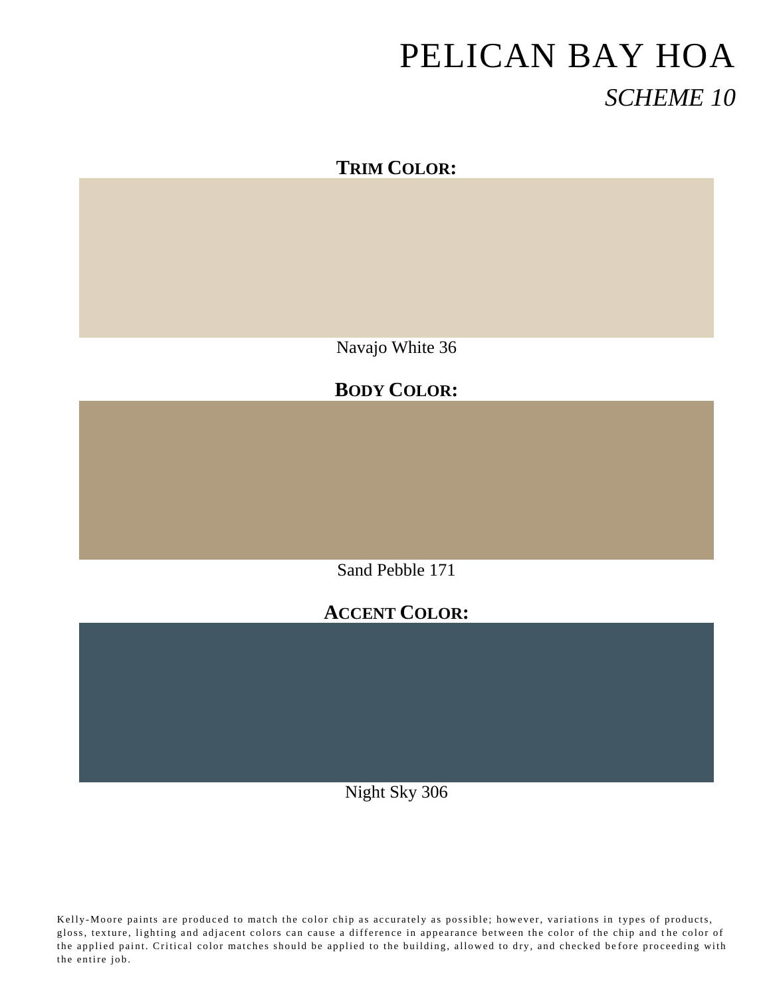### **TRIM COLOR:**

Navajo White 36

### **BODY COLOR:**

Sand Pebble 171

### **ACCENT COLOR:**

Night Sky 306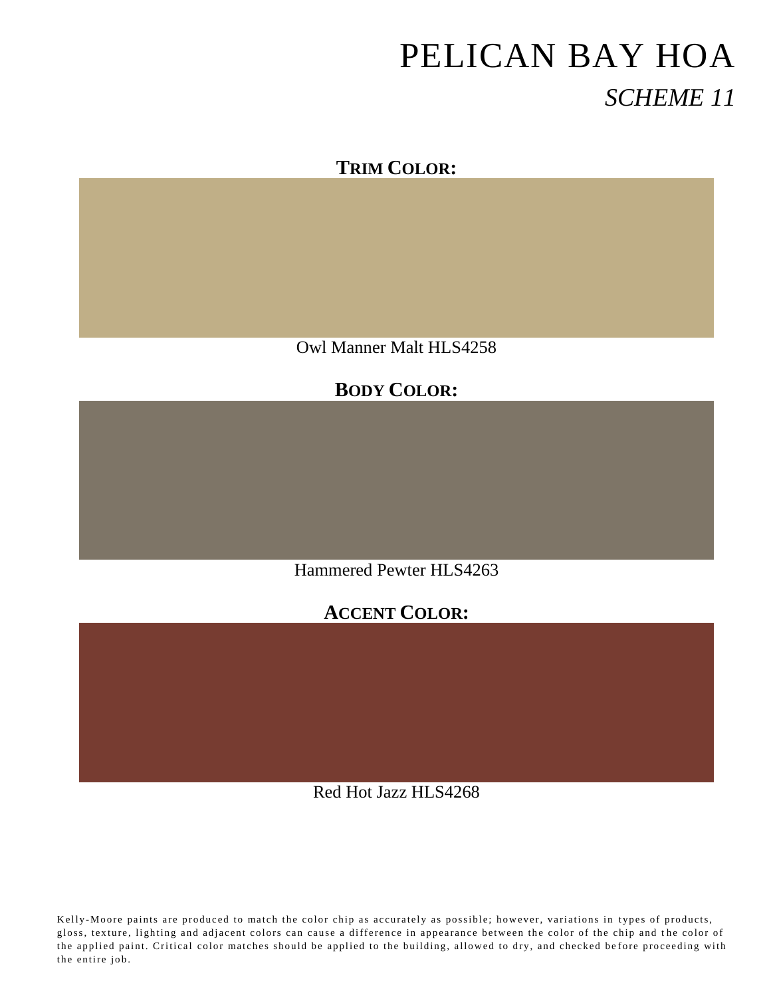#### **TRIM COLOR:**

Owl Manner Malt HLS4258

#### **BODY COLOR:**

Hammered Pewter HLS4263

#### **ACCENT COLOR:**

Red Hot Jazz HLS4268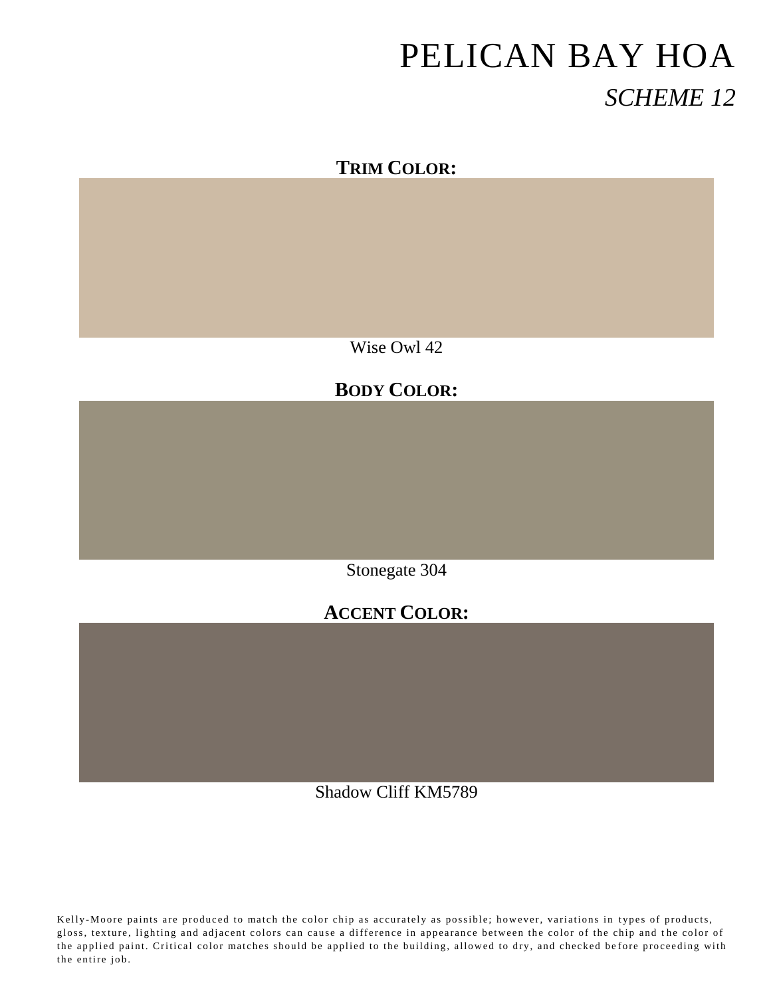#### **TRIM COLOR:**

Wise Owl 42

# **BODY COLOR:**

Stonegate 304

### **ACCENT COLOR:**

Shadow Cliff KM5789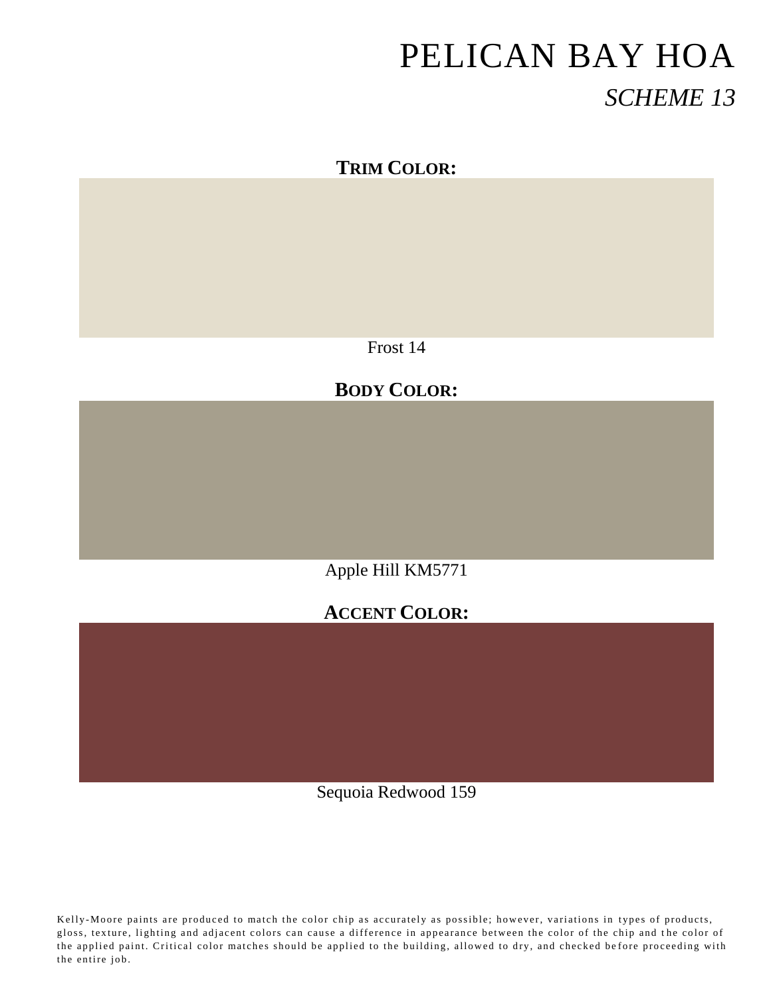### **TRIM COLOR:**

Frost 14

# **BODY COLOR:**

Apple Hill KM5771

# **ACCENT COLOR:**

Sequoia Redwood 159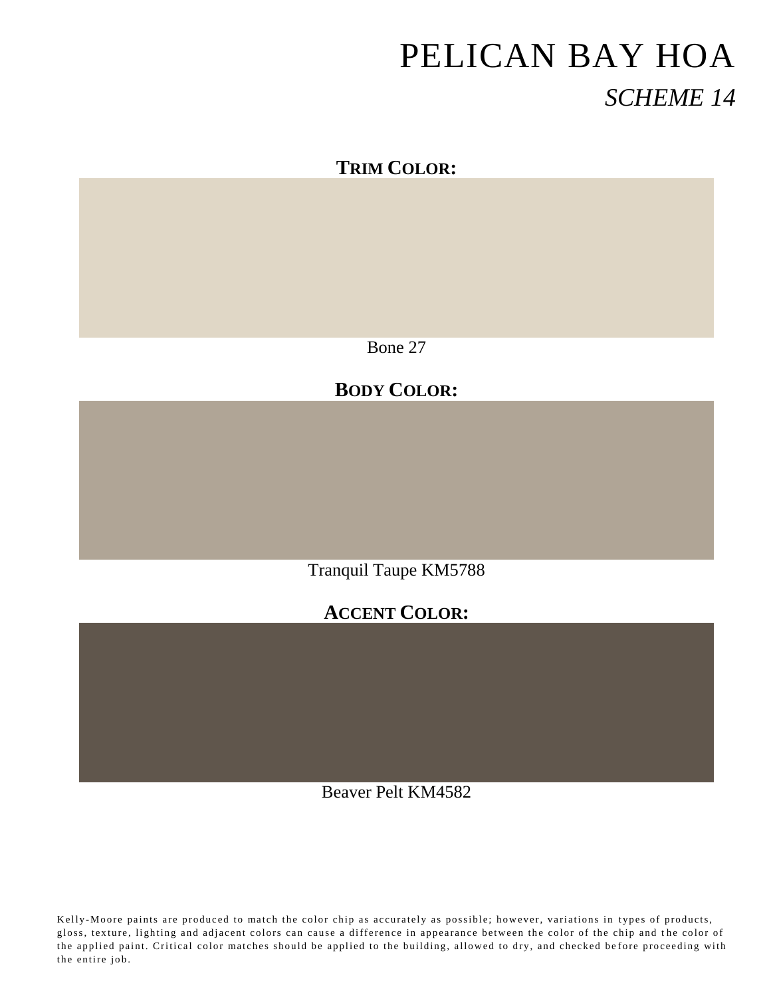### **TRIM COLOR:**

Bone 27

# **BODY COLOR:**

Tranquil Taupe KM5788

# **ACCENT COLOR:**

Beaver Pelt KM4582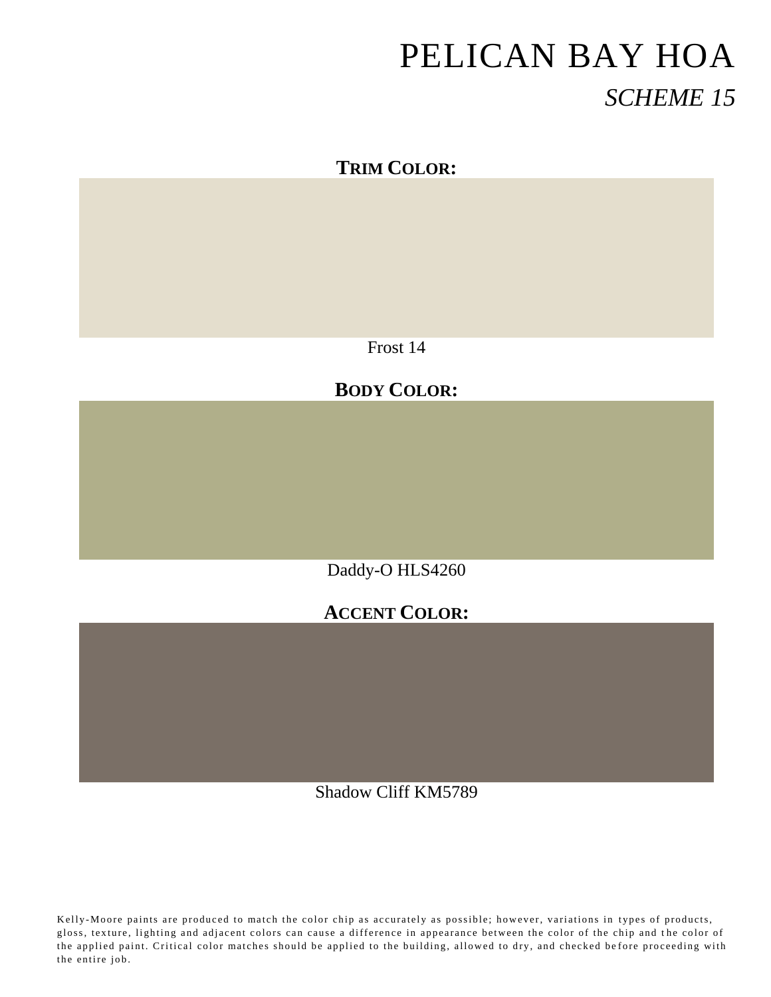# **TRIM COLOR:**

Frost 14

# **BODY COLOR:**

Daddy-O HLS4260

# **ACCENT COLOR:**

Shadow Cliff KM5789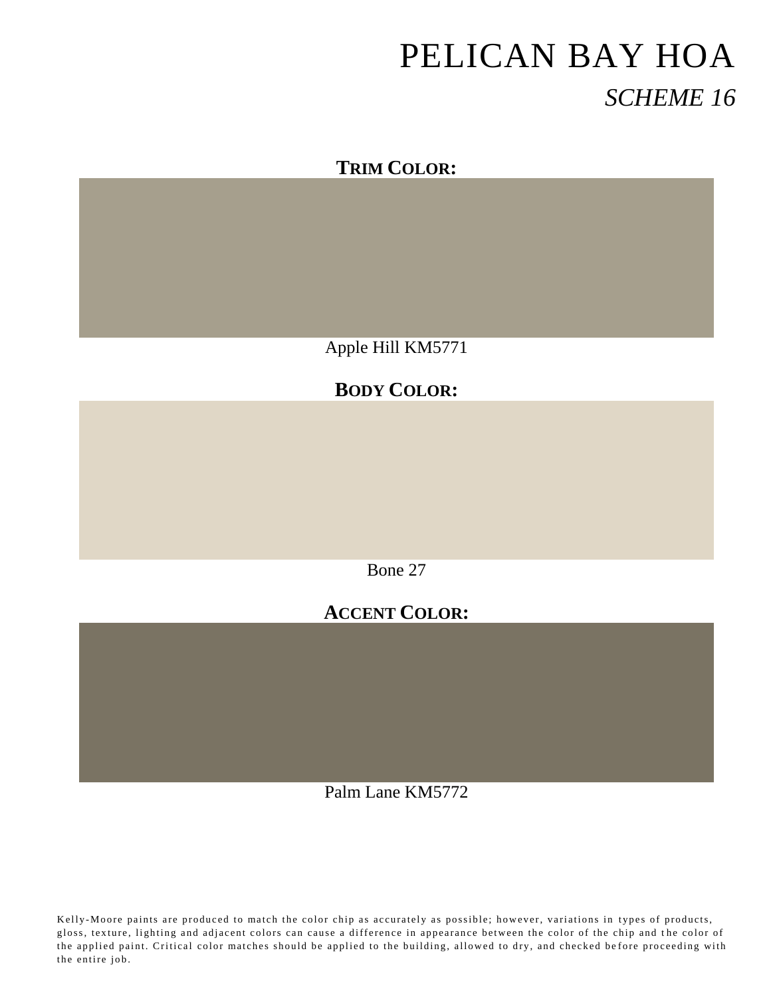#### **TRIM COLOR:**

Apple Hill KM5771

### **BODY COLOR:**

Bone 27

# **ACCENT COLOR:**

Palm Lane KM5772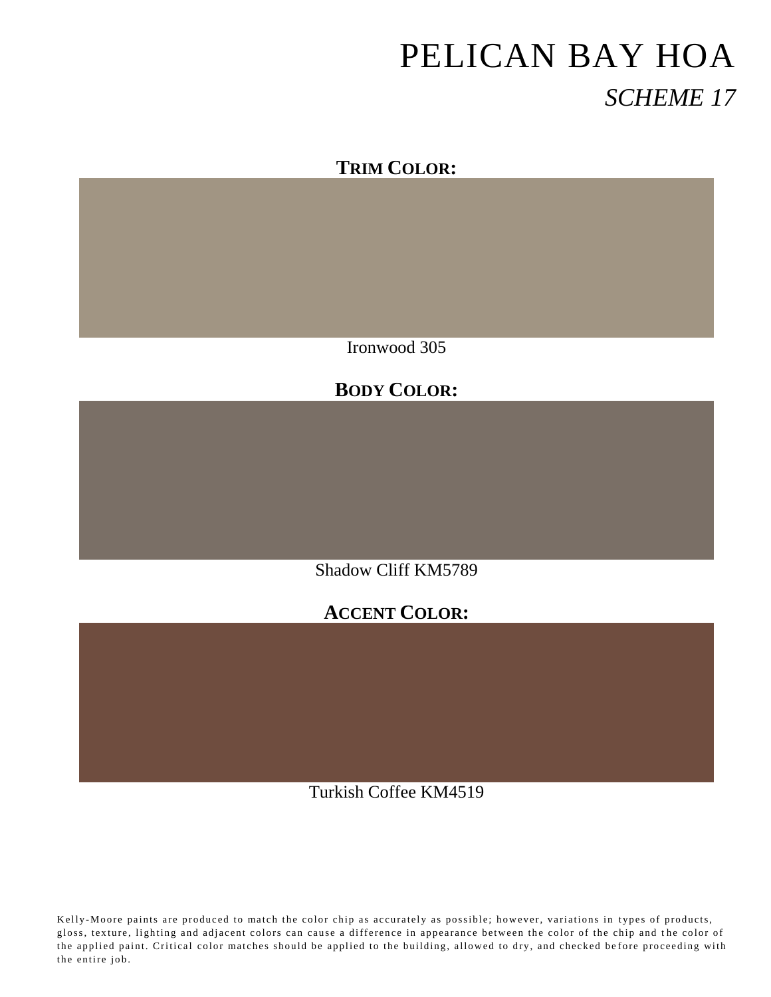### **TRIM COLOR:**

Ironwood 305

### **BODY COLOR:**

Shadow Cliff KM5789

### **ACCENT COLOR:**

Turkish Coffee KM4519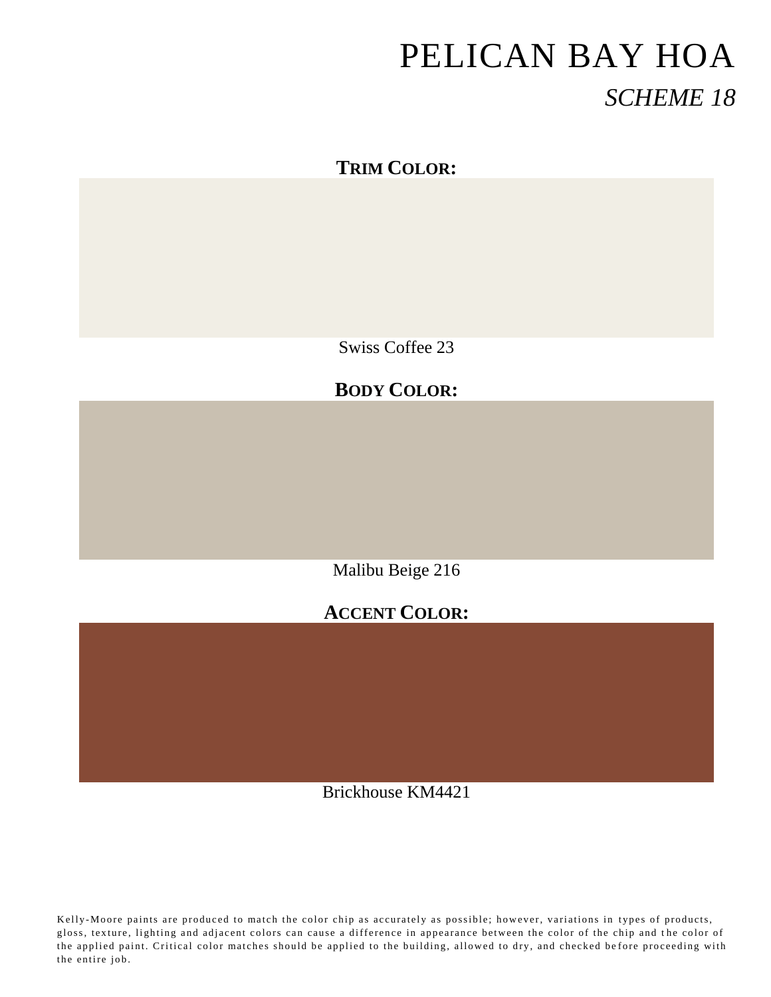### **TRIM COLOR:**

Swiss Coffee 23

# **BODY COLOR:**

Malibu Beige 216

#### **ACCENT COLOR:**

Brickhouse KM4421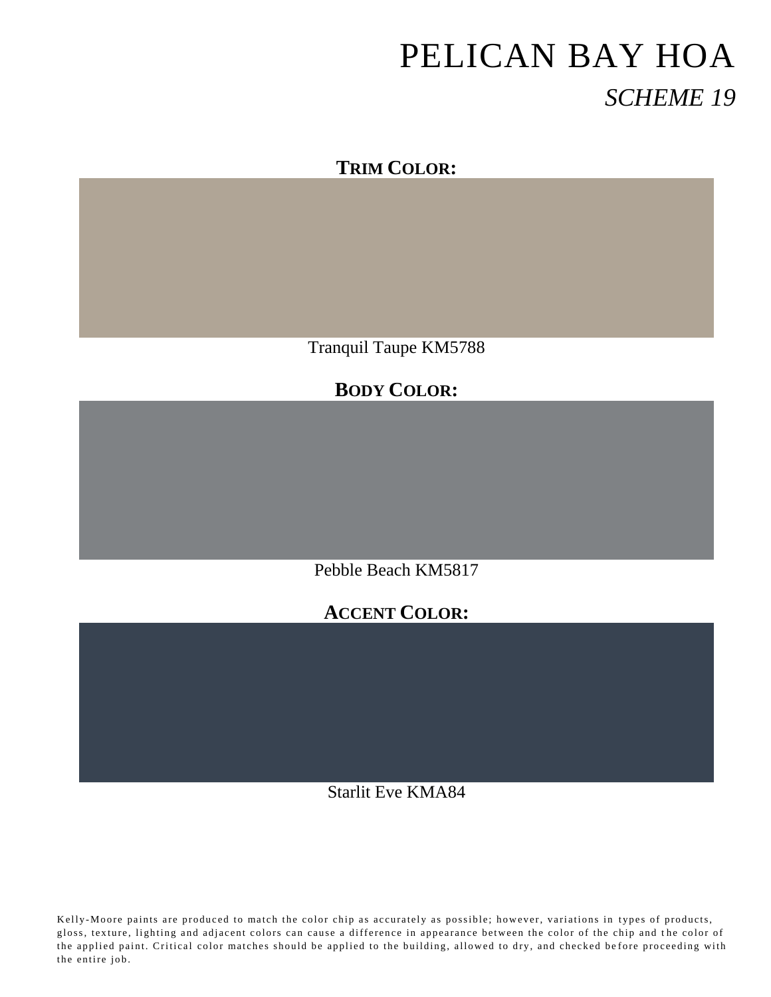### **TRIM COLOR:**

Tranquil Taupe KM5788

### **BODY COLOR:**

Pebble Beach KM5817

#### **ACCENT COLOR:**

Starlit Eve KMA84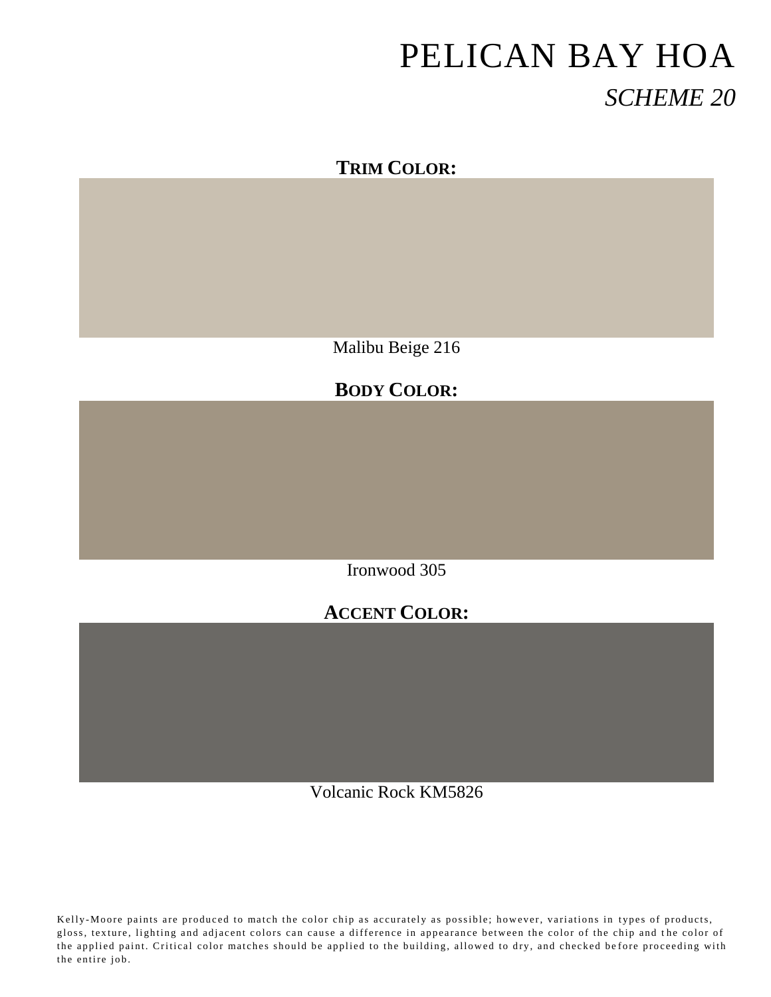#### **TRIM COLOR:**

Malibu Beige 216

#### **BODY COLOR:**

Ironwood 305

#### **ACCENT COLOR:**

Volcanic Rock KM5826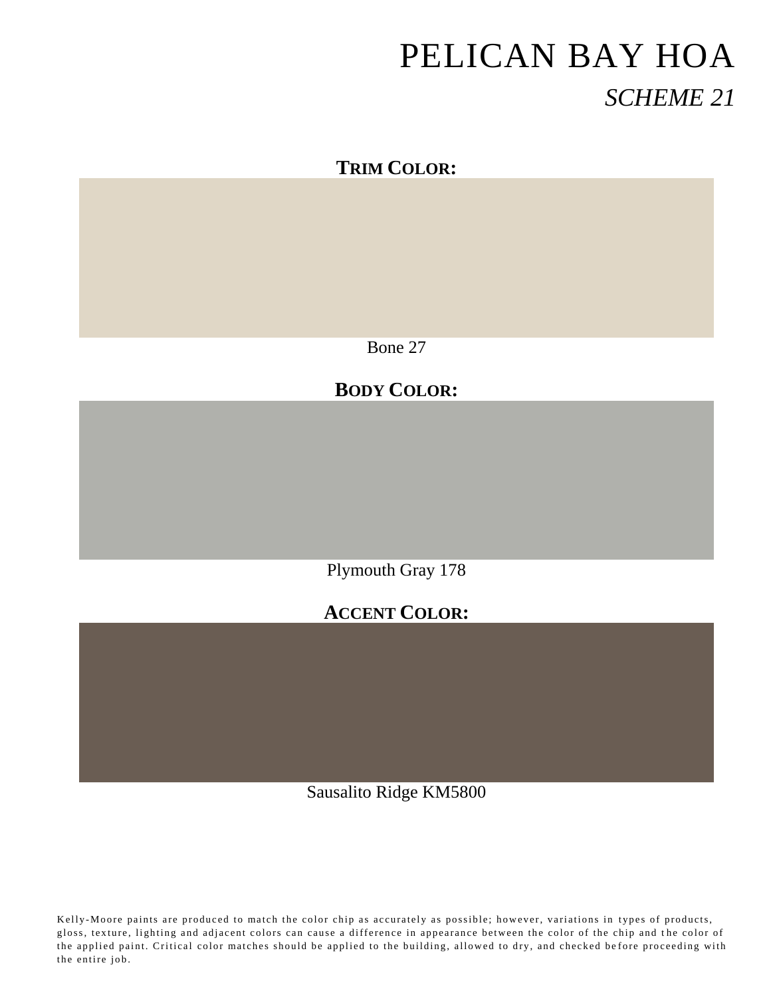### **TRIM COLOR:**

Bone 27

# **BODY COLOR:**

Plymouth Gray 178

# **ACCENT COLOR:**

Sausalito Ridge KM5800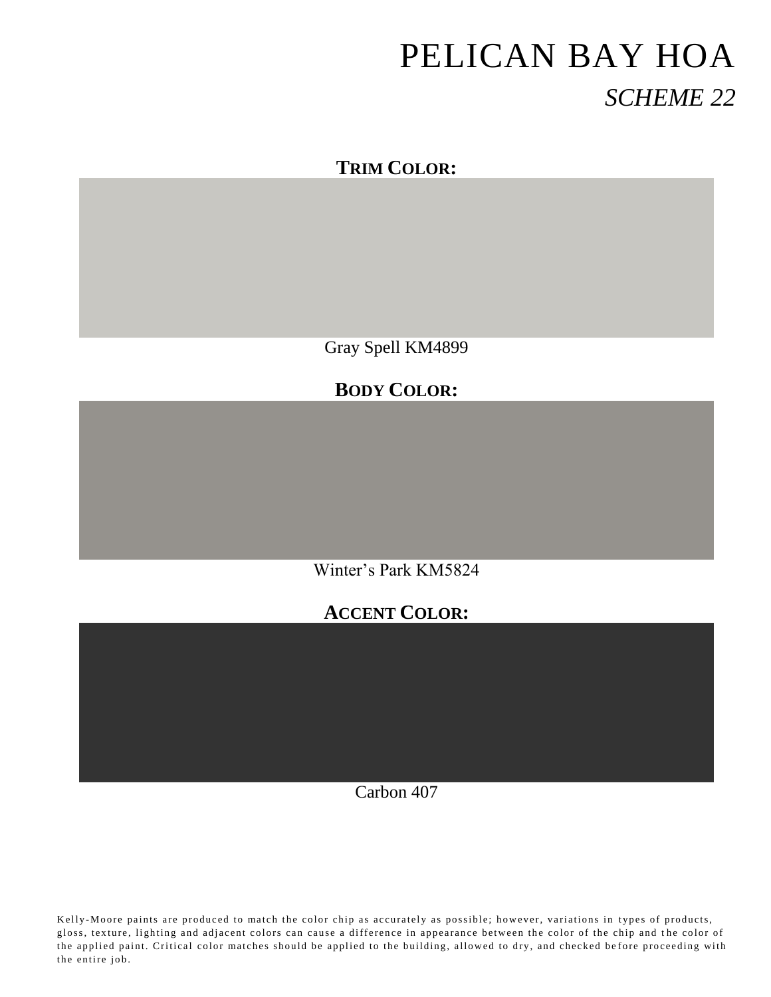#### **TRIM COLOR:**

Gray Spell KM4899

#### **BODY COLOR:**

Winter's Park KM5824

#### **ACCENT COLOR:**

Carbon 407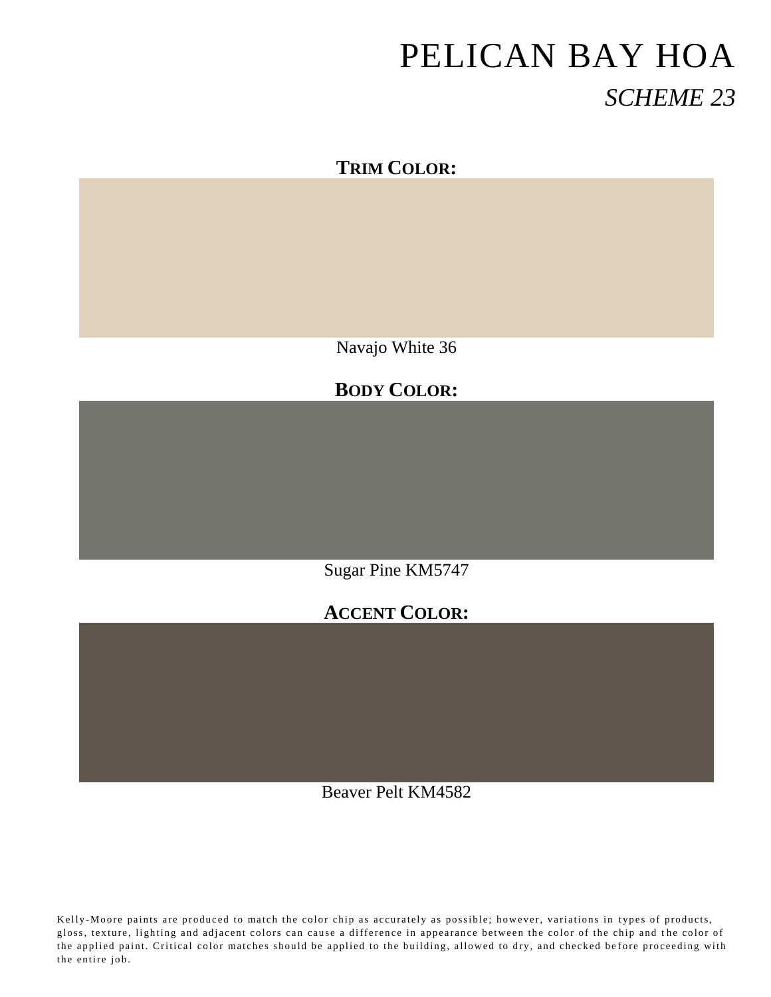#### **TRIM COLOR:**

Navajo White 36

#### **BODY COLOR:**

Sugar Pine KM5747

#### **ACCENT COLOR:**

Beaver Pelt KM4582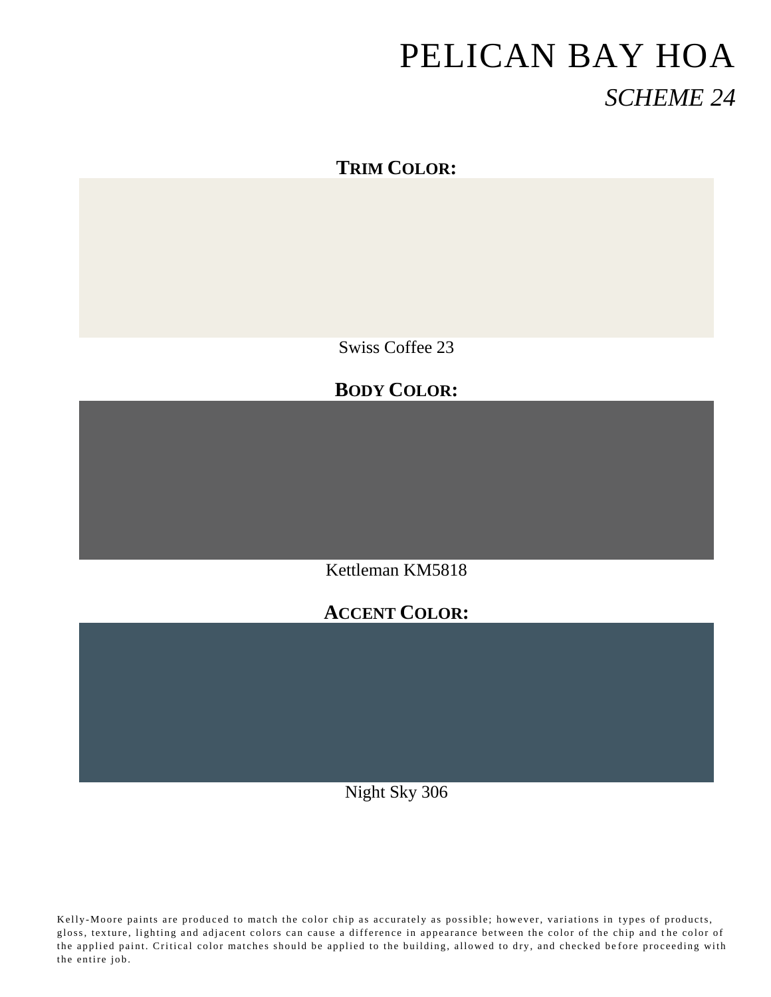### **TRIM COLOR:**

Swiss Coffee 23

# **BODY COLOR:**

Kettleman KM5818

### **ACCENT COLOR:**

Night Sky 306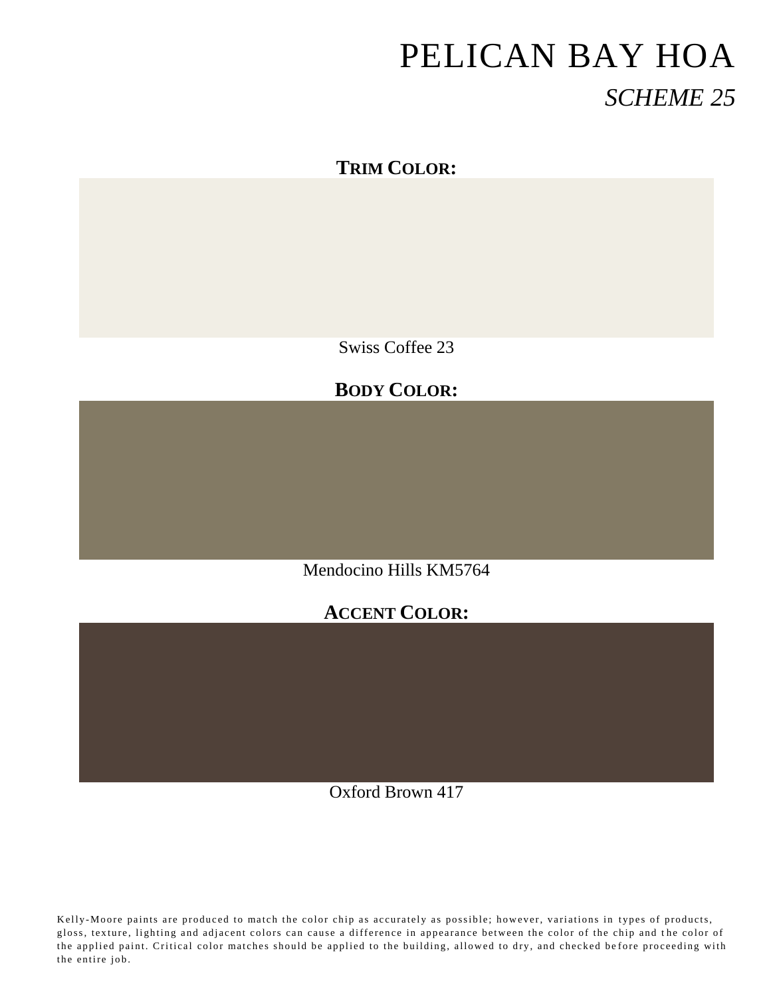### **TRIM COLOR:**

Swiss Coffee 23

# **BODY COLOR:**

Mendocino Hills KM5764

### **ACCENT COLOR:**

Oxford Brown 417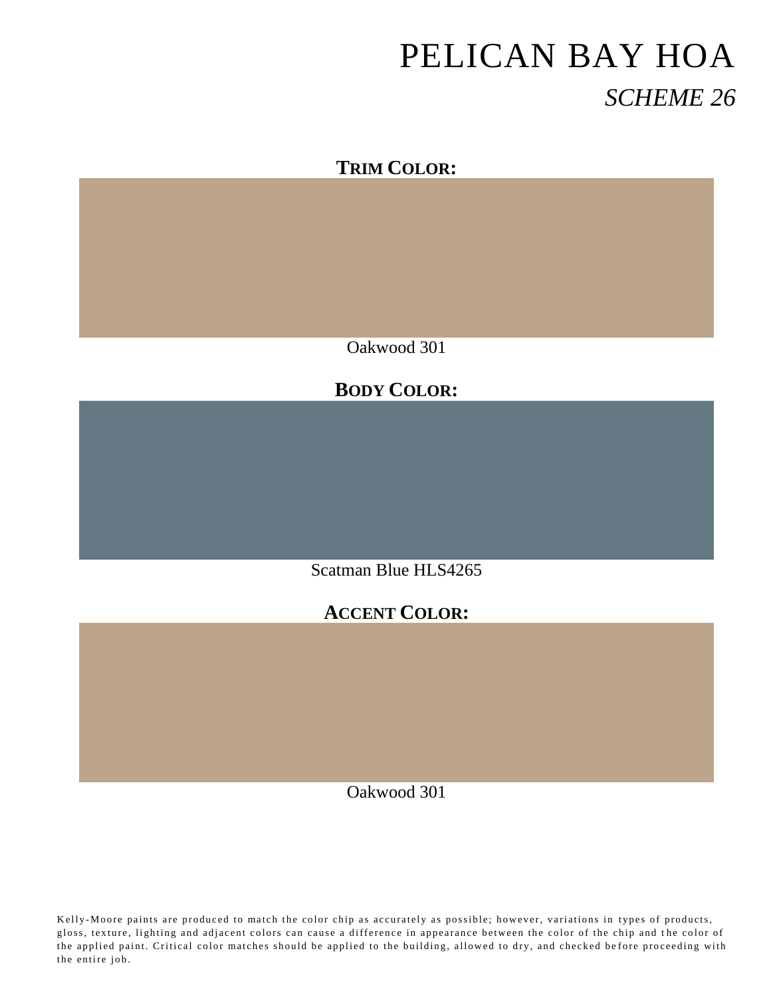### **TRIM COLOR:**

Oakwood 301

### **BODY COLOR:**

Scatman Blue HLS4265

### **ACCENT COLOR:**

Oakwood 301